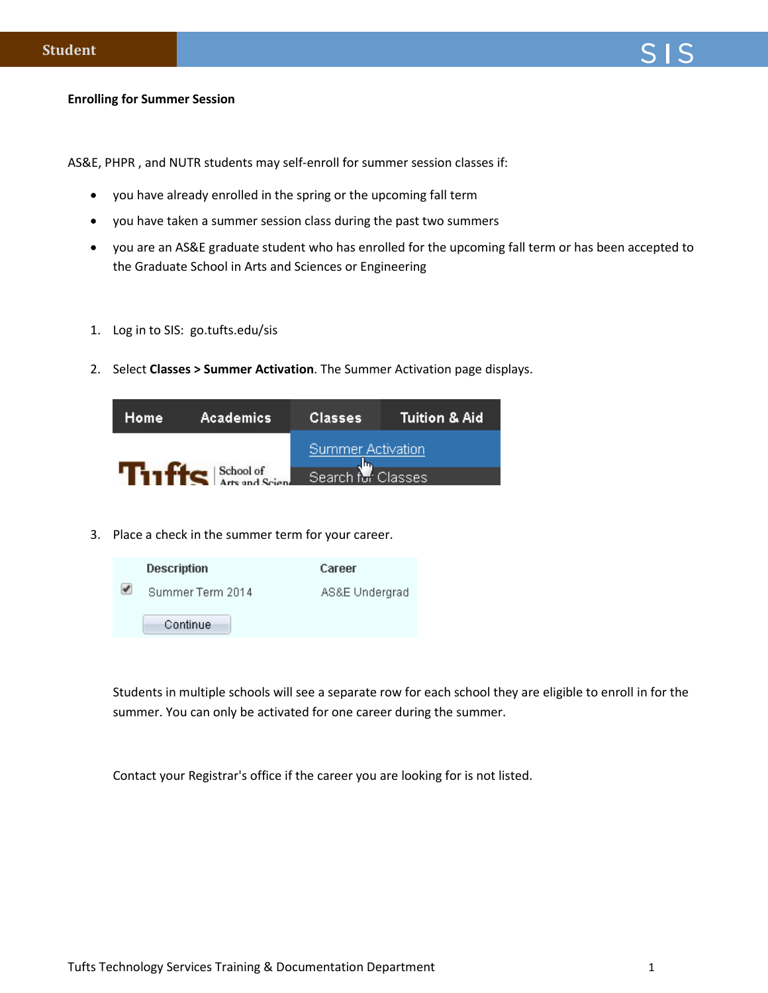## **Enrolling for Summer Session**

AS&E, PHPR , and NUTR students may self-enroll for summer session classes if:

- you have already enrolled in the spring or the upcoming fall term
- you have taken a summer session class during the past two summers
- you are an AS&E graduate student who has enrolled for the upcoming fall term or has been accepted to the Graduate School in Arts and Sciences or Engineering
- 1. Log in to SIS: go.tufts.edu/sis
- 2. Select **Classes > Summer Activation**. The Summer Activation page displays.

| <b>Academics</b><br>Home | Classes            | Tuition & Aid |
|--------------------------|--------------------|---------------|
|                          | Summer Activation  |               |
| <b>Tilffs</b> School of  | Search for Classes |               |

3. Place a check in the summer term for your career.



Students in multiple schools will see a separate row for each school they are eligible to enroll in for the summer. You can only be activated for one career during the summer.

Contact your Registrar's office if the career you are looking for is not listed.